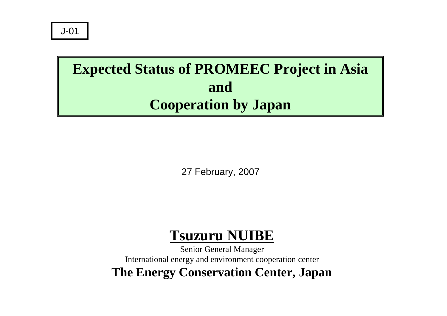# **Expected Status of PROMEEC Project in Asia andCooperation by Japan**

27 February, 2007

# **Tsuzuru NUIBE**

Senior General Manager International energy and environment cooperation center **The Energy Conservation Center, Japan**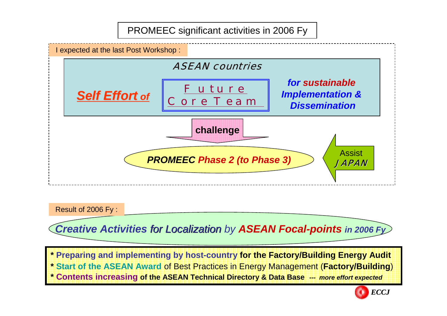PROMEEC significant activities in 2006 Fy



Result of 2006 Fy :

*Creative Activities for Localization by for Localization ASEAN Focal-points in 2006 Fy*

**\* Preparing and implementing by host-country for the Factory/Building Energy Audit \* Start of the ASEAN Award** of Best Practices in Energy Management (**Factory/Building**) **\* Contents increasing of the ASEAN Technical Directory & Data Base** *--- more effort expected*

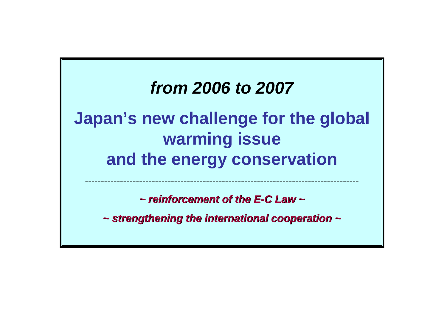# *from 2006 to 2007* **Japan's new challenge for the global warming issue and the energy conservation**

*~ reinforcement of the E ~ reinforcement of the E-C Law ~ C Law ~*

--------------------------------------------------------------------------------------

*~ strengthening the international cooperation ~ ~ strengthening the international cooperation ~*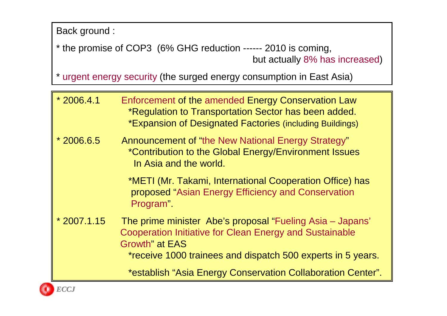Back ground :

\* the promise of COP3 (6% GHG reduction ------ 2010 is coming, but actually 8% has increased)

\* urgent energy security (the surged energy consumption in East Asia)

| $*2006.4.1$  | Enforcement of the amended Energy Conservation Law<br>*Regulation to Transportation Sector has been added.<br>*Expansion of Designated Factories (including Buildings)                                               |
|--------------|----------------------------------------------------------------------------------------------------------------------------------------------------------------------------------------------------------------------|
| $*2006.6.5$  | <b>Announcement of "the New National Energy Strategy"</b><br>*Contribution to the Global Energy/Environment Issues<br>In Asia and the world.                                                                         |
|              | *METI (Mr. Takami, International Cooperation Office) has<br>proposed "Asian Energy Efficiency and Conservation<br>Program".                                                                                          |
| $*2007.1.15$ | The prime minister Abe's proposal "Fueling Asia – Japans"<br><b>Cooperation Initiative for Clean Energy and Sustainable</b><br><b>Growth</b> " at EAS<br>*receive 1000 trainees and dispatch 500 experts in 5 years. |
|              | *establish "Asia Energy Conservation Collaboration Center".                                                                                                                                                          |

*ECCJ*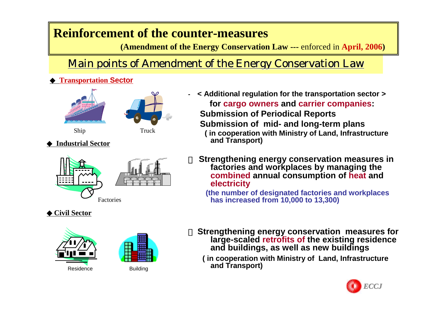### **Reinforcement of the counter-measures**

**(Amendment of the Energy Conservation Law ---** enforced in **April, 2006)**

### Main points of Amendment of the Energy Conservation Law

**-**

#### **Transportation Sector**









#### **Industrial Sector**



#### **Civil Sector**





- **< Additional regulation for the transportation sector > for cargo owners and carrier companies: Submission of Periodical Reports Submission of mid- and long-term plans ( in cooperation with Ministry of Land, Infrastructure and Transport)**
- **Strengthening energy conservation measures in factories and workplaces by managing the combined annual consumption of heat and electricity**

**(the number of designated factories and workplaces has increased from 10,000 to 13,300)**

- **Strengthening energy conservation measures for large-scaled retrofits of the existing residence and buildings, as well as new buildings**
	- **( in cooperation with Ministry of Land, Infrastructure and Transport)**

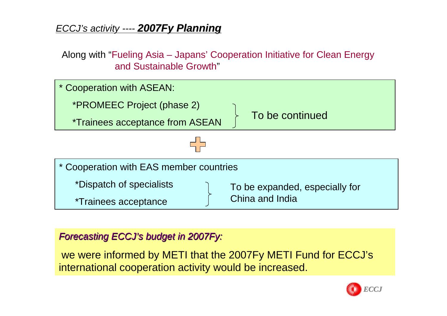### *ECCJ's activity ---- 2007Fy Planning 2007Fy Planning*

Along with "Fueling Asia – Japans' Cooperation Initiative for Clean Energy and Sustainable Growth"



#### *Forecasting Forecasting ECCJ's budget in 2007Fy: budget in 2007Fy:*

we were informed by METI that the 2007Fy METI Fund for ECCJ's international cooperation activity would be increased.

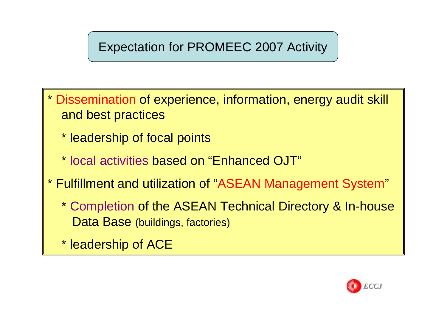## Expectation for PROMEEC 2007 Activity

- \* Dissemination of experience, information, energy audit skill and best practices
	- \* leadership of focal points
	- \* local activities based on "Enhanced OJT"
- \* Fulfillment and utilization of "ASEAN Management System "
	- \* Completion of the ASEAN Technical Directory & In-house Data Base (buildings, factories)
	- \* leadership of ACE

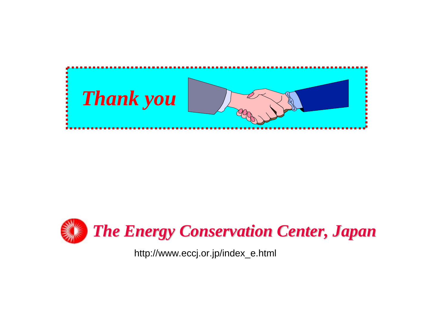



http://www.eccj.or.jp/index\_e.html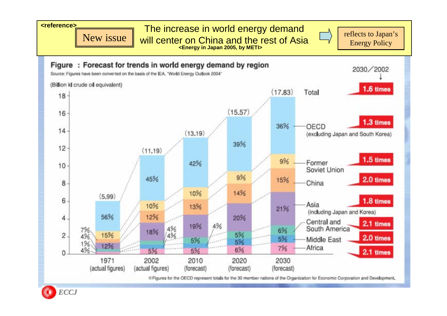

BE Figures for the OECD represent totals for the 30 member nations of the Organization for Economic Corporation and Development.